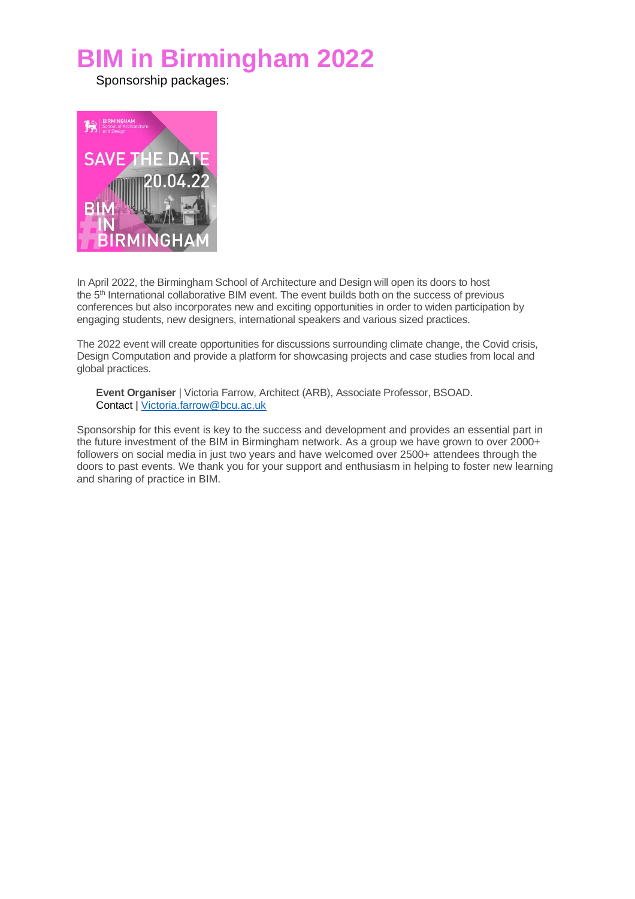# **BIM in Birmingham 2022**

Sponsorship packages:



In April 2022, the Birmingham School of Architecture and Design will open its doors to host the 5 th International collaborative BIM event. The event builds both on the success of previous conferences but also incorporates new and exciting opportunities in order to widen participation by engaging students, new designers, international speakers and various sized practices.

The 2022 event will create opportunities for discussions surrounding climate change, the Covid crisis, Design Computation and provide a platform for showcasing projects and case studies from local and global practices.

**Event Organiser** | Victoria Farrow, Architect (ARB), Associate Professor, BSOAD. Contact | [Victoria.farrow@bcu.ac.uk](mailto:Victoria.farrow@bcu.ac.uk)

Sponsorship for this event is key to the success and development and provides an essential part in the future investment of the BIM in Birmingham network. As a group we have grown to over 2000+ followers on social media in just two years and have welcomed over 2500+ attendees through the doors to past events. We thank you for your support and enthusiasm in helping to foster new learning and sharing of practice in BIM.